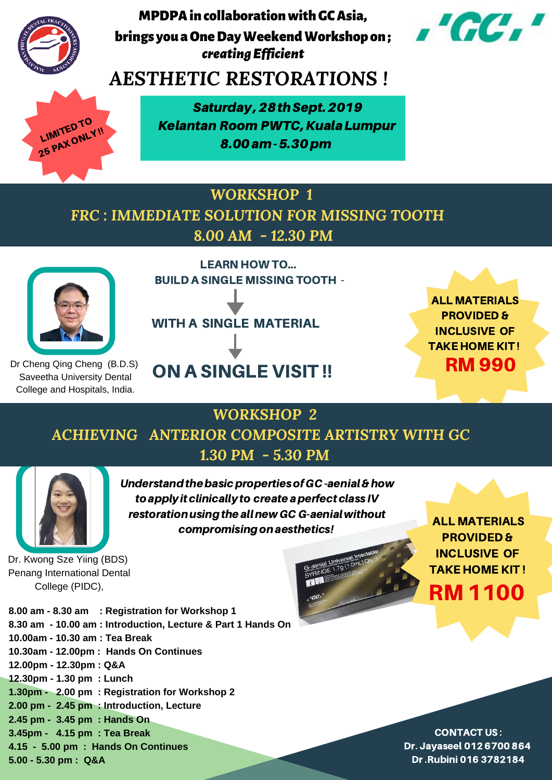Saturday,28thSept.2019 Kelantan Room PWTC, Kuala Lumpur 8.00am-5.30pm



*creatingEfficient* MPDPAincollaborationwithGCAsia, brings you a One Day Weekend Workshop on ;



**8.00 am - 8.30 am : Registration for Workshop 1 8.30 am - 10.00 am : Introduction, Lecture & Part 1 Hands On 10.00am - 10.30 am : Tea Break 10.30am - 12.00pm : Hands On Continues 12.00pm - 12.30pm : Q&A 12.30pm - 1.30 pm : Lunch 1.30pm - 2.00 pm : Registration for Workshop 2 2.00 pm - 2.45 pm : Introduction, Lecture 2.45 pm - 3.45 pm : Hands On 3.45pm - 4.15 pm : Tea Break 4.15 - 5.00 pm : Hands On Continues 5.00 - 5.30 pm : Q&A** 

## *AESTHETIC RESTORATIONS !*

LEARN HOW TO... BUILD A SINGLE MISSING TOOTH - WITH A SINGLE MATERIAL ON A SINGLE VISIT !!

Dr Cheng Qing Cheng (B.D.S) Saveetha University Dental College and Hospitals, India.

ALL MATERIALS PROVIDED & INCLUSIVE OF TAKE HOME KIT ! RM 990

Dr. Kwong Sze Yiing (BDS) Penang International Dental College (PIDC),

ALL MATERIALS PROVIDED & INCLUSIVE OF TAKE HOME KIT ! RM 1100

CONTACT US : Dr. Jayaseel 012 6700 864 Dr.Rubini 016 3782184



### *WORKSHOP 1 FRC : IMMEDIATE SOLUTION FOR MISSING TOOTH 8.00 AM - 12.30 PM*



*WORKSHOP 2*

# *ACHIEVING ANTERIOR COMPOSITE ARTISTRY WITH GC 1.30 PM - 5.30 PM*



Understand the basic properties of GC-aenial & how to apply it clinically to create a perfect class IV restoration using the all new GC G-aenial without compromising on aesthetics!

G-aemial Universal Injectable

G-anial Universal II.